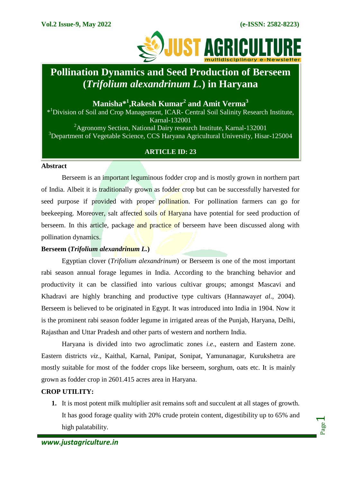Page  $\overline{\phantom{0}}$ 



# **Pollination Dynamics and Seed Production of Berseem (***Trifolium alexandrinum L.***) in Haryana**

**Manisha\*<sup>1</sup> ,Rakesh Kumar<sup>2</sup> and Amit Verma<sup>3</sup>**

\* <sup>1</sup>Division of Soil and Crop Management, ICAR- Central Soil Salinity Research Institute, Karnal-132001 <sup>2</sup>Agronomy Section, National Dairy research Institute, Karnal-132001 <sup>3</sup>Department of Vegetable Science, CCS Haryana Agricultural University, Hisar-125004

# **ARTICLE ID: 23**

## **Abstract**

Berseem is an important leguminous fodder crop and is mostly grown in northern part of India. Albeit it is traditionally grown as fodder crop but can be successfully harvested for seed purpose if provided with proper pollination. For pollination farmers can go for beekeeping. Moreover, salt affected soils of Haryana have potential for seed production of berseem. In this article, package and practice of berseem have been discussed along with pollination dynamics.

## **Berseem (***Trifolium alexandrinum L.***)**

Egyptian clover (*Trifolium alexandrinum*) or Berseem is one of the most important rabi season annual forage legumes in India. According to the branching behavior and productivity it can be classified into various cultivar groups; amongst Mascavi and Khadravi are highly branching and productive type cultivars [\(Hannaway](https://www.feedipedia.org/node/15956)*et al*., 2004). Berseem is believed to be originated in Egypt. It was introduced into India in 1904. Now it is the prominent rabi season fodder legume in irrigated areas of the Punjab, Haryana, Delhi, Rajasthan and Uttar Pradesh and other parts of western and northern India.

Haryana is divided into two agroclimatic zones *i.e*., eastern and Eastern zone. Eastern districts *viz*., Kaithal, Karnal, Panipat, Sonipat, Yamunanagar, Kurukshetra are mostly suitable for most of the fodder crops like berseem, sorghum, oats etc. It is mainly grown as fodder crop in 2601.415 acres area in Haryana.

# **CROP UTILITY:**

**1.** It is most potent milk multiplier asit remains soft and succulent at all stages of growth. It has good forage quality with 20% crude protein content, digestibility up to 65% and high palatability.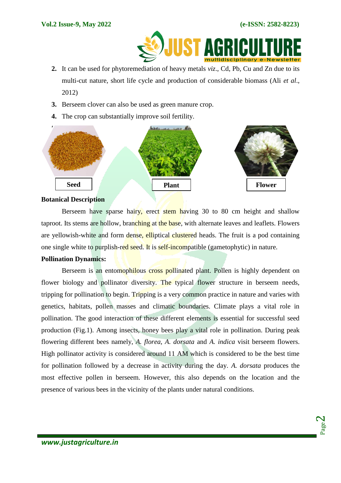

- **2.** It can be used for phytoremediation of heavy metals *viz*., Cd, Pb, Cu and Zn due to its multi-cut nature, short life cycle and production of considerable biomass (Ali *et al*., 2012)
- **3.** Berseem clover can also be used as green manure crop.
- **4.** The crop can substantially improve soil fertility.



### **Botanical Description**

Berseem have sparse hairy, erect stem having 30 to 80 cm height and shallow taproot. Its stems are hollow, branching at the base, with alternate leaves and leaflets. Flowers are yellowish-white and form dense, elliptical clustered heads. The fruit is a pod containing one single white to purplish-red seed. It is self-incompatible (gametophytic) in nature.

## **Pollination Dynamics:**

Berseem is an entomophilous cross pollinated plant. Pollen is highly dependent on flower biology and pollinator diversity. The typical flower structure in berseem needs, tripping for pollination to begin. Tripping is a very common practice in nature and varies with genetics, habitats, pollen masses and climatic boundaries. Climate plays a vital role in pollination. The good interaction of these different elements is essential for successful seed production (Fig.1). Among insects, honey bees play a vital role in pollination. During peak flowering different bees namely, *A. florea*, *A. dorsata* and *A. indica* visit berseem flowers. High pollinator activity is considered around 11 AM which is considered to be the best time for pollination followed by a decrease in activity during the day. *A. dorsata* produces the most effective pollen in berseem. However, this also depends on the location and the presence of various bees in the vicinity of the plants under natural conditions.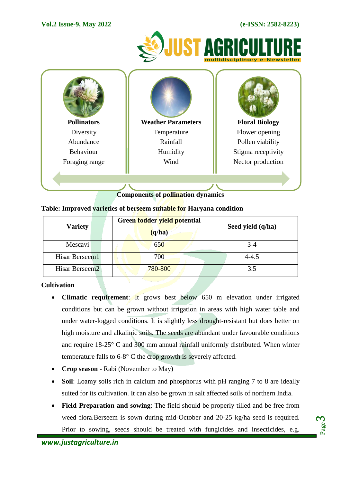## **Vol.2 Issue-9, May 2022 (e-ISSN: 2582-8223)**





# **Components of pollination dynamics**

| <b>Variety</b>             | Green fodder yield potential<br>(q/ha) | Seed yield (q/ha) |
|----------------------------|----------------------------------------|-------------------|
| Mescavi                    | 650                                    | $3-4$             |
| Hisar Berseem1             | 700                                    | $4 - 4.5$         |
| Hisar Berseem <sub>2</sub> | 780-800                                | 3.5               |

# **Table: Improved varieties of berseem suitable for Haryana condition**

# **Cultivation**

- **Climatic requirement:** It grows best below 650 m elevation under irrigated conditions but can be grown without irrigation in areas with high water table and under water-logged conditions. It is slightly less drought-resistant but does better on high moisture and alkalinic soils. The seeds are abundant under favourable conditions and require 18-25° C and 300 mm annual rainfall uniformly distributed. When winter temperature falls to 6-8° C the crop growth is severely affected.
- **Crop season** Rabi (November to May)
- **Soil**: Loamy soils rich in calcium and phosphorus with pH ranging 7 to 8 are ideally suited for its cultivation. It can also be grown in salt affected soils of northern India.
- **Field Preparation and sowing**: The field should be properly tilled and be free from weed flora.Berseem is sown during mid-October and 20-25 kg/ha seed is required. Prior to sowing, seeds should be treated with fungicides and insecticides, e.g.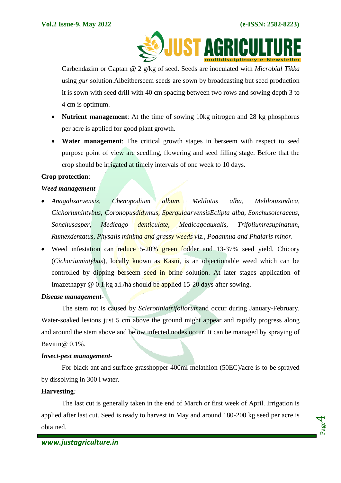

Carbendazim or Captan @ 2 g/kg of seed. Seeds are inoculated with *Microbial Tikka* using *gur* solution.Albeitberseem seeds are sown by broadcasting but seed production it is sown with seed drill with 40 cm spacing between two rows and sowing depth 3 to 4 cm is optimum.

- **Nutrient management**: At the time of sowing 10kg nitrogen and 28 kg phosphorus per acre is applied for good plant growth.
- **Water management**: The critical growth stages in berseem with respect to seed purpose point of view are seedling, flowering and seed filling stage. Before that the crop should be irrigated at timely intervals of one week to 10 days.

## **Crop protection**:

## *Weed management***-**

- *Anagalisarvensis, Chenopodium album, Melilotus alba, Melilotusindica, Cichoriumintybus, Coronopusdidymus, SpergulaarvensisEclipta alba, Sonchusoleraceus, Sonchusasper, Medicago denticulate, Medicagoauxalis, Trifoliumresupinatum, Rumexdentatus, Physalis minima and grassy weeds viz., Poaannua and Phalaris minor.*
- Weed infestation can reduce 5-20% green fodder and 13-37% seed yield. Chicory (*Cichoriumintybus*), locally known as Kasni, is an objectionable weed which can be controlled by dipping berseem seed in brine solution. At later stages application of Imazethapyr @ 0.1 kg a.i./ha should be applied 15-20 days after sowing.

### *Disease management***-**

The stem rot is caused by *Sclerotiniatrifoliorum*and occur during January-February. Water-soaked lesions just 5 cm above the ground might appear and rapidly progress along and around the stem above and below infected nodes occur. It can be managed by spraying of Bavitin@ 0.1%.

### *Insect-pest management***-**

For black ant and surface grasshopper 400ml melathion (50EC)/acre is to be sprayed by dissolving in 300 l water.

## **Harvesting***:*

The last cut is generally taken in the end of March or first week of April. Irrigation is applied after last cut. Seed is ready to harvest in May and around 180-200 kg seed per acre is obtained.

Page 4